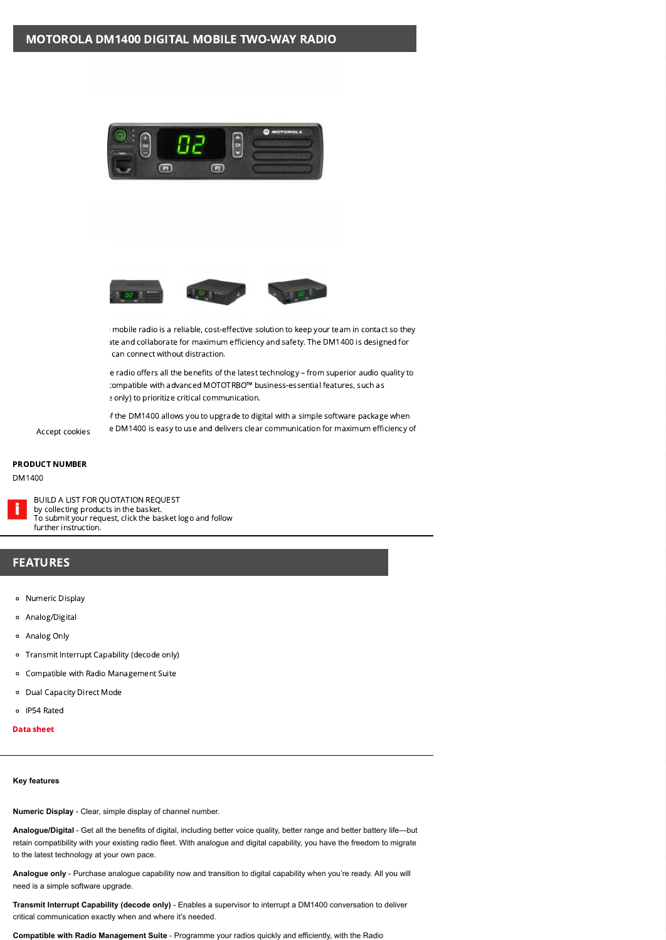



™ mobile radio is a reliable, cost-effective solution to keep your team in contact so they ate and collaborate for maximum efficiency and safety. The DM1400 is designed for can connect without distraction.

e radio offers all the benefits of the latest technology – from superior audio quality to compatible with advanced MOTOTRBO™ business-essential features, such as e only) to prioritize critical communication.

If the DM1400 allows you to upgrade to digital with a simple software package when e DM1400 is easy to use and delivers clear communication for maximum efficiency of Accept cookies

## PRODUCT NUMBER

## DM1400



BUILD A LIST FOR QUOTATION REQUEST by collecting products in the basket. To submit your request, click the basket logo and follow further instruction.

## FEATURES

- o Numeric Display
- Analog/Digital
- Analog Only
- Transmit Interrupt Capability (decode only)
- Compatible with Radio Management Suite
- Dual Capacity Direct Mode
- IP54 Rated
- Data [sheet](https://danimex.com/Files/Images/Products/Motorola/Mototrbo/brochures/dm1000_data_sheet.pdf)

## **Key features**

**Numeric Display** - Clear, simple display of channel number.

**Analogue/Digital** - Get all the benefits of digital, including better voice quality, better range and better battery life—but retain compatibility with your existing radio fleet. With analogue and digital capability, you have the freedom to migrate to the latest technology at your own pace.

**Analogue only** - Purchase analogue capability now and transition to digital capability when you're ready. All you will need is a simple software upgrade.

**Transmit Interrupt Capability (decode only)** - Enables a supervisor to interrupt a DM1400 conversation to deliver critical communication exactly when and where it's needed.

**Compatible with Radio Management Suite** - Programme your radios quickly and efficiently, with the Radio